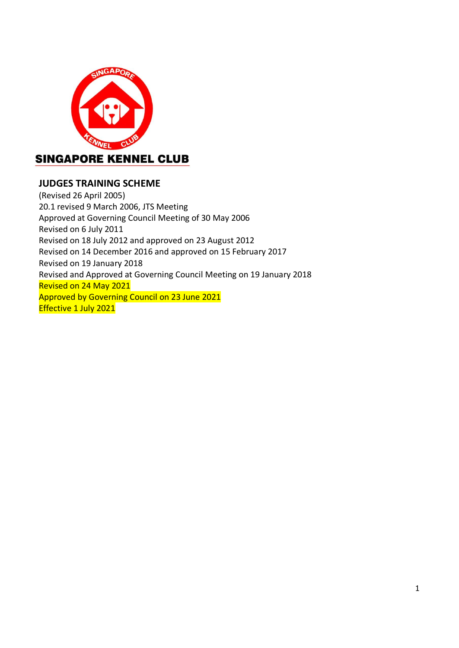

# **JUDGES TRAINING SCHEME**

(Revised 26 April 2005) 20.1 revised 9 March 2006, JTS Meeting Approved at Governing Council Meeting of 30 May 2006 Revised on 6 July 2011 Revised on 18 July 2012 and approved on 23 August 2012 Revised on 14 December 2016 and approved on 15 February 2017 Revised on 19 January 2018 Revised and Approved at Governing Council Meeting on 19 January 2018 Revised on 24 May 2021 Approved by Governing Council on 23 June 2021 Effective 1 July 2021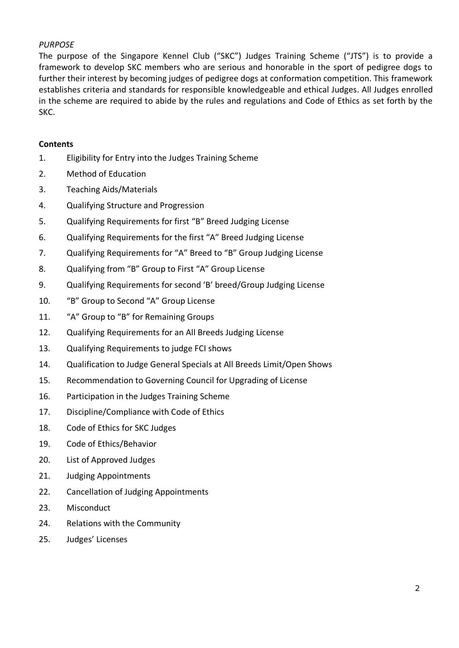# *PURPOSE*

The purpose of the Singapore Kennel Club ("SKC") Judges Training Scheme ("JTS") is to provide a framework to develop SKC members who are serious and honorable in the sport of pedigree dogs to further their interest by becoming judges of pedigree dogs at conformation competition. This framework establishes criteria and standards for responsible knowledgeable and ethical Judges. All Judges enrolled in the scheme are required to abide by the rules and regulations and Code of Ethics as set forth by the SKC.

## **Contents**

- 1. Eligibility for Entry into the Judges Training Scheme
- 2. Method of Education
- 3. Teaching Aids/Materials
- 4. Qualifying Structure and Progression
- 5. Qualifying Requirements for first "B" Breed Judging License
- 6. Qualifying Requirements for the first "A" Breed Judging License
- 7. Qualifying Requirements for "A" Breed to "B" Group Judging License
- 8. Qualifying from "B" Group to First "A" Group License
- 9. Qualifying Requirements for second 'B' breed/Group Judging License
- 10. "B" Group to Second "A" Group License
- 11. "A" Group to "B" for Remaining Groups
- 12. Qualifying Requirements for an All Breeds Judging License
- 13. Qualifying Requirements to judge FCI shows
- 14. Qualification to Judge General Specials at All Breeds Limit/Open Shows
- 15. Recommendation to Governing Council for Upgrading of License
- 16. Participation in the Judges Training Scheme
- 17. Discipline/Compliance with Code of Ethics
- 18. Code of Ethics for SKC Judges
- 19. Code of Ethics/Behavior
- 20. List of Approved Judges
- 21. Judging Appointments
- 22. Cancellation of Judging Appointments
- 23. Misconduct
- 24. Relations with the Community
- 25. Judges' Licenses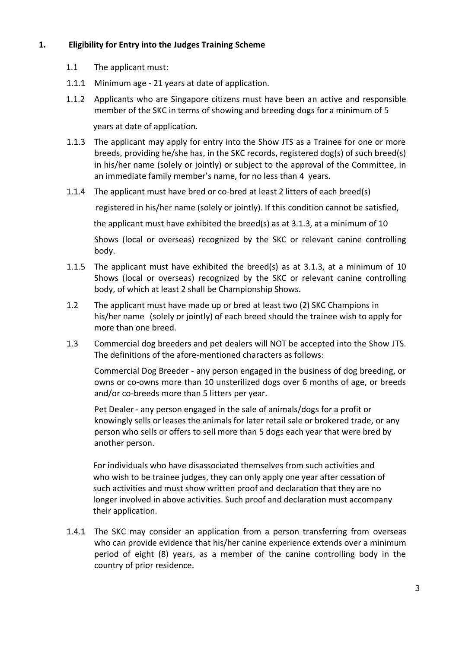# **1. Eligibility for Entry into the Judges Training Scheme**

- 1.1 The applicant must:
- 1.1.1 Minimum age 21 years at date of application.
- 1.1.2 Applicants who are Singapore citizens must have been an active and responsible member of the SKC in terms of showing and breeding dogs for a minimum of 5

years at date of application.

- 1.1.3 The applicant may apply for entry into the Show JTS as a Trainee for one or more breeds, providing he/she has, in the SKC records, registered dog(s) of such breed(s) in his/her name (solely or jointly) or subject to the approval of the Committee, in an immediate family member's name, for no less than 4 years.
- 1.1.4 The applicant must have bred or co-bred at least 2 litters of each breed(s)

registered in his/her name (solely or jointly). If this condition cannot be satisfied,

the applicant must have exhibited the breed(s) as at 3.1.3, at a minimum of 10

Shows (local or overseas) recognized by the SKC or relevant canine controlling body.

- 1.1.5 The applicant must have exhibited the breed(s) as at 3.1.3, at a minimum of 10 Shows (local or overseas) recognized by the SKC or relevant canine controlling body, of which at least 2 shall be Championship Shows.
- 1.2 The applicant must have made up or bred at least two (2) SKC Champions in his/her name (solely or jointly) of each breed should the trainee wish to apply for more than one breed.
- 1.3 Commercial dog breeders and pet dealers will NOT be accepted into the Show JTS. The definitions of the afore-mentioned characters as follows:

Commercial Dog Breeder - any person engaged in the business of dog breeding, or owns or co-owns more than 10 unsterilized dogs over 6 months of age, or breeds and/or co-breeds more than 5 litters per year.

Pet Dealer - any person engaged in the sale of animals/dogs for a profit or knowingly sells or leases the animals for later retail sale or brokered trade, or any person who sells or offers to sell more than 5 dogs each year that were bred by another person.

 For individuals who have disassociated themselves from such activities and who wish to be trainee judges, they can only apply one year after cessation of such activities and must show written proof and declaration that they are no longer involved in above activities. Such proof and declaration must accompany their application.

1.4.1 The SKC may consider an application from a person transferring from overseas who can provide evidence that his/her canine experience extends over a minimum period of eight (8) years, as a member of the canine controlling body in the country of prior residence.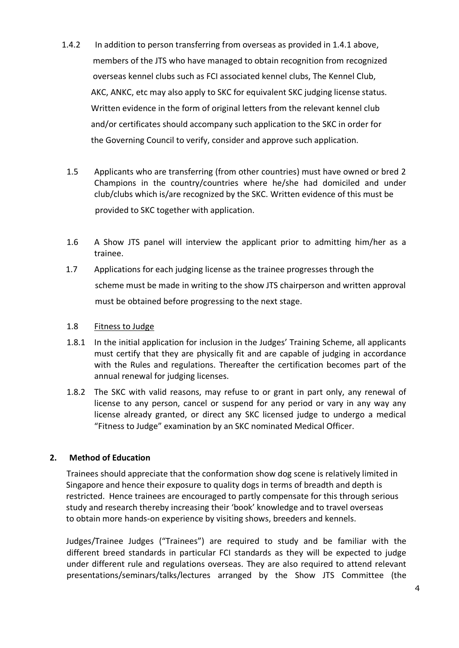- 1.4.2 In addition to person transferring from overseas as provided in 1.4.1 above, members of the JTS who have managed to obtain recognition from recognized overseas kennel clubs such as FCI associated kennel clubs, The Kennel Club, AKC, ANKC, etc may also apply to SKC for equivalent SKC judging license status. Written evidence in the form of original letters from the relevant kennel club and/or certificates should accompany such application to the SKC in order for the Governing Council to verify, consider and approve such application.
	- 1.5 Applicants who are transferring (from other countries) must have owned or bred 2 Champions in the country/countries where he/she had domiciled and under club/clubs which is/are recognized by the SKC. Written evidence of this must be provided to SKC together with application.
	- 1.6 A Show JTS panel will interview the applicant prior to admitting him/her as a trainee.
- 1.7 Applications for each judging license as the trainee progresses through the scheme must be made in writing to the show JTS chairperson and written approval must be obtained before progressing to the next stage.

## 1.8 Fitness to Judge

- 1.8.1 In the initial application for inclusion in the Judges' Training Scheme, all applicants must certify that they are physically fit and are capable of judging in accordance with the Rules and regulations. Thereafter the certification becomes part of the annual renewal for judging licenses.
- 1.8.2 The SKC with valid reasons, may refuse to or grant in part only, any renewal of license to any person, cancel or suspend for any period or vary in any way any license already granted, or direct any SKC licensed judge to undergo a medical "Fitness to Judge" examination by an SKC nominated Medical Officer.

# **2. Method of Education**

Trainees should appreciate that the conformation show dog scene is relatively limited in Singapore and hence their exposure to quality dogs in terms of breadth and depth is restricted. Hence trainees are encouraged to partly compensate for this through serious study and research thereby increasing their 'book' knowledge and to travel overseas to obtain more hands-on experience by visiting shows, breeders and kennels.

Judges/Trainee Judges ("Trainees") are required to study and be familiar with the different breed standards in particular FCI standards as they will be expected to judge under different rule and regulations overseas. They are also required to attend relevant presentations/seminars/talks/lectures arranged by the Show JTS Committee (the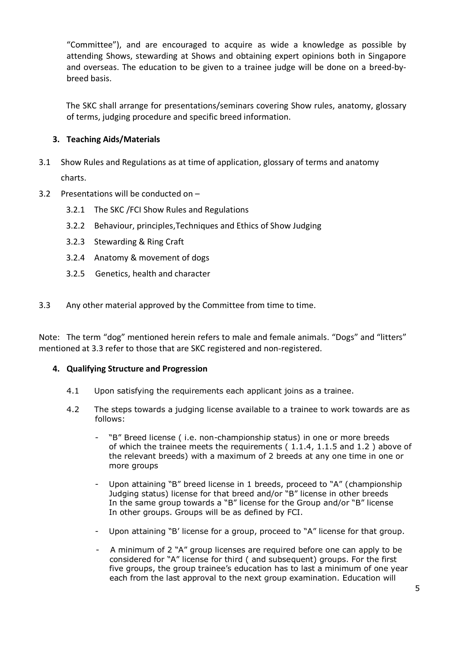"Committee"), and are encouraged to acquire as wide a knowledge as possible by attending Shows, stewarding at Shows and obtaining expert opinions both in Singapore and overseas. The education to be given to a trainee judge will be done on a breed-bybreed basis.

The SKC shall arrange for presentations/seminars covering Show rules, anatomy, glossary of terms, judging procedure and specific breed information.

# **3. Teaching Aids/Materials**

- 3.1 Show Rules and Regulations as at time of application, glossary of terms and anatomy charts.
- 3.2 Presentations will be conducted on
	- 3.2.1 The SKC /FCI Show Rules and Regulations
	- 3.2.2 Behaviour, principles,Techniques and Ethics of Show Judging
	- 3.2.3 Stewarding & Ring Craft
	- 3.2.4 Anatomy & movement of dogs
	- 3.2.5 Genetics, health and character
- 3.3 Any other material approved by the Committee from time to time.

Note: The term "dog" mentioned herein refers to male and female animals. "Dogs" and "litters" mentioned at 3.3 refer to those that are SKC registered and non-registered.

# **4. Qualifying Structure and Progression**

- 4.1 Upon satisfying the requirements each applicant joins as a trainee.
- 4.2 The steps towards a judging license available to a trainee to work towards are as follows:
	- "B" Breed license ( i.e. non-championship status) in one or more breeds of which the trainee meets the requirements ( 1.1.4, 1.1.5 and 1.2 ) above of the relevant breeds) with a maximum of 2 breeds at any one time in one or more groups
	- Upon attaining "B" breed license in 1 breeds, proceed to "A" (championship Judging status) license for that breed and/or "B" license in other breeds In the same group towards a "B" license for the Group and/or "B" license In other groups. Groups will be as defined by FCI.
	- Upon attaining "B' license for a group, proceed to "A" license for that group.
	- A minimum of 2 "A" group licenses are required before one can apply to be considered for "A" license for third ( and subsequent) groups. For the first five groups, the group trainee's education has to last a minimum of one year each from the last approval to the next group examination. Education will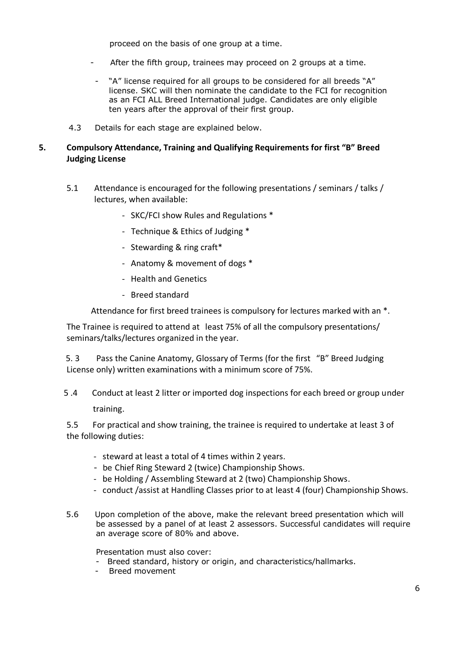proceed on the basis of one group at a time.

- After the fifth group, trainees may proceed on 2 groups at a time.
- "A" license required for all groups to be considered for all breeds "A" license. SKC will then nominate the candidate to the FCI for recognition as an FCI ALL Breed International judge. Candidates are only eligible ten years after the approval of their first group.
- 4.3 Details for each stage are explained below.

### **5. Compulsory Attendance, Training and Qualifying Requirements for first "B" Breed Judging License**

- 5.1 Attendance is encouraged for the following presentations / seminars / talks / lectures, when available:
	- SKC/FCI show Rules and Regulations \*
	- Technique & Ethics of Judging \*
	- Stewarding & ring craft\*
	- Anatomy & movement of dogs \*
	- Health and Genetics
	- Breed standard

Attendance for first breed trainees is compulsory for lectures marked with an \*.

The Trainee is required to attend at least 75% of all the compulsory presentations/ seminars/talks/lectures organized in the year.

 5. 3 Pass the Canine Anatomy, Glossary of Terms (for the first "B" Breed Judging License only) written examinations with a minimum score of 75%.

 5 .4 Conduct at least 2 litter or imported dog inspections for each breed or group under training.

 5.5 For practical and show training, the trainee is required to undertake at least 3 of the following duties:

- steward at least a total of 4 times within 2 years.
- be Chief Ring Steward 2 (twice) Championship Shows.
- be Holding / Assembling Steward at 2 (two) Championship Shows.
- conduct /assist at Handling Classes prior to at least 4 (four) Championship Shows.
- 5.6 Upon completion of the above, make the relevant breed presentation which will be assessed by a panel of at least 2 assessors. Successful candidates will require an average score of 80% and above.

Presentation must also cover:

- Breed standard, history or origin, and characteristics/hallmarks.
- Breed movement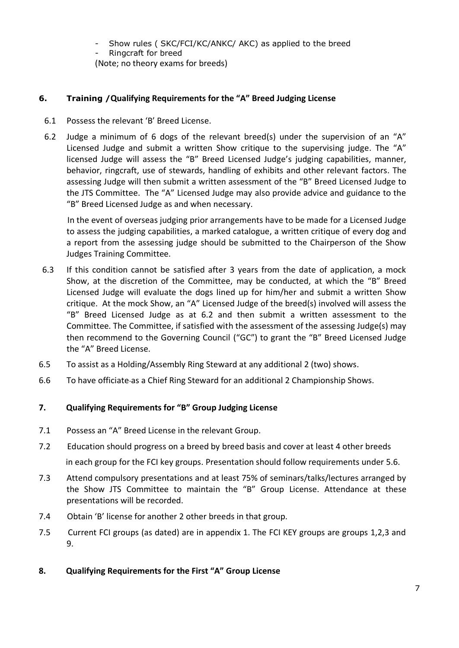- Show rules ( SKC/FCI/KC/ANKC/ AKC) as applied to the breed
- Ringcraft for breed

(Note; no theory exams for breeds)

# **6. Training /Qualifying Requirements for the "A" Breed Judging License**

- 6.1 Possess the relevant 'B' Breed License.
- 6.2 Judge a minimum of 6 dogs of the relevant breed(s) under the supervision of an "A" Licensed Judge and submit a written Show critique to the supervising judge. The "A" licensed Judge will assess the "B" Breed Licensed Judge's judging capabilities, manner, behavior, ringcraft, use of stewards, handling of exhibits and other relevant factors. The assessing Judge will then submit a written assessment of the "B" Breed Licensed Judge to the JTS Committee. The "A" Licensed Judge may also provide advice and guidance to the "B" Breed Licensed Judge as and when necessary.

 In the event of overseas judging prior arrangements have to be made for a Licensed Judge to assess the judging capabilities, a marked catalogue, a written critique of every dog and a report from the assessing judge should be submitted to the Chairperson of the Show Judges Training Committee.

- 6.3 If this condition cannot be satisfied after 3 years from the date of application, a mock Show, at the discretion of the Committee, may be conducted, at which the "B" Breed Licensed Judge will evaluate the dogs lined up for him/her and submit a written Show critique. At the mock Show, an "A" Licensed Judge of the breed(s) involved will assess the "B" Breed Licensed Judge as at 6.2 and then submit a written assessment to the Committee. The Committee, if satisfied with the assessment of the assessing Judge(s) may then recommend to the Governing Council ("GC") to grant the "B" Breed Licensed Judge the "A" Breed License.
- 6.5 To assist as a Holding/Assembly Ring Steward at any additional 2 (two) shows.
- 6.6 To have officiate as a Chief Ring Steward for an additional 2 Championship Shows.

# **7. Qualifying Requirements for "B" Group Judging License**

- 7.1 Possess an "A" Breed License in the relevant Group.
- 7.2 Education should progress on a breed by breed basis and cover at least 4 other breeds in each group for the FCI key groups. Presentation should follow requirements under 5.6.
- 7.3 Attend compulsory presentations and at least 75% of seminars/talks/lectures arranged by the Show JTS Committee to maintain the "B" Group License. Attendance at these presentations will be recorded.
- 7.4 Obtain 'B' license for another 2 other breeds in that group.
- 7.5 Current FCI groups (as dated) are in appendix 1. The FCI KEY groups are groups 1,2,3 and 9.
- **8. Qualifying Requirements for the First "A" Group License**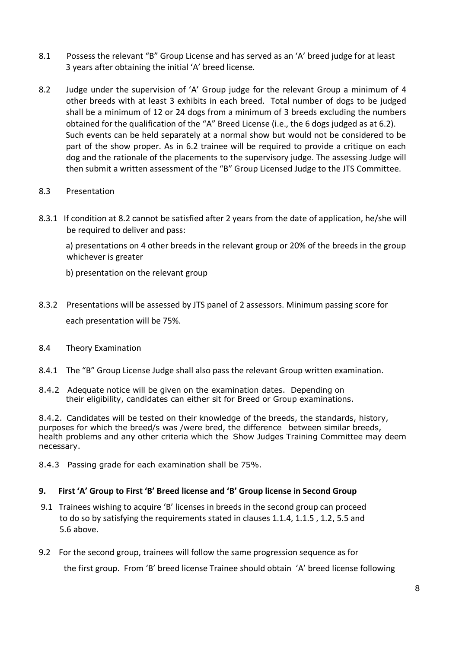- 8.1 Possess the relevant "B" Group License and has served as an 'A' breed judge for at least 3 years after obtaining the initial 'A' breed license.
- 8.2 Judge under the supervision of 'A' Group judge for the relevant Group a minimum of 4 other breeds with at least 3 exhibits in each breed. Total number of dogs to be judged shall be a minimum of 12 or 24 dogs from a minimum of 3 breeds excluding the numbers obtained for the qualification of the "A" Breed License (i.e., the 6 dogs judged as at 6.2). Such events can be held separately at a normal show but would not be considered to be part of the show proper. As in 6.2 trainee will be required to provide a critique on each dog and the rationale of the placements to the supervisory judge. The assessing Judge will then submit a written assessment of the "B" Group Licensed Judge to the JTS Committee.

# 8.3 Presentation

8.3.1 If condition at 8.2 cannot be satisfied after 2 years from the date of application, he/she will be required to deliver and pass:

 a) presentations on 4 other breeds in the relevant group or 20% of the breeds in the group whichever is greater

b) presentation on the relevant group

- 8.3.2 Presentations will be assessed by JTS panel of 2 assessors. Minimum passing score for each presentation will be 75%.
- 8.4 Theory Examination
- 8.4.1 The "B" Group License Judge shall also pass the relevant Group written examination.
- 8.4.2 Adequate notice will be given on the examination dates. Depending on their eligibility, candidates can either sit for Breed or Group examinations.

8.4.2. Candidates will be tested on their knowledge of the breeds, the standards, history, purposes for which the breed/s was /were bred, the difference between similar breeds, health problems and any other criteria which the Show Judges Training Committee may deem necessary.

8.4.3 Passing grade for each examination shall be 75%.

# **9. First 'A' Group to First 'B' Breed license and 'B' Group license in Second Group**

- 9.1 Trainees wishing to acquire 'B' licenses in breeds in the second group can proceed to do so by satisfying the requirements stated in clauses 1.1.4, 1.1.5 , 1.2, 5.5 and 5.6 above.
- 9.2 For the second group, trainees will follow the same progression sequence as for

the first group. From 'B' breed license Trainee should obtain 'A' breed license following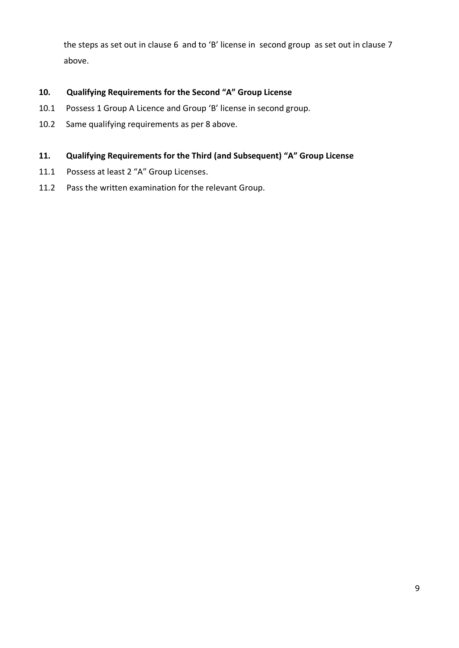the steps as set out in clause 6 and to 'B' license in second group as set out in clause 7 above.

# **10. Qualifying Requirements for the Second "A" Group License**

- 10.1 Possess 1 Group A Licence and Group 'B' license in second group.
- 10.2 Same qualifying requirements as per 8 above.

# **11. Qualifying Requirements for the Third (and Subsequent) "A" Group License**

- 11.1 Possess at least 2 "A" Group Licenses.
- 11.2 Pass the written examination for the relevant Group.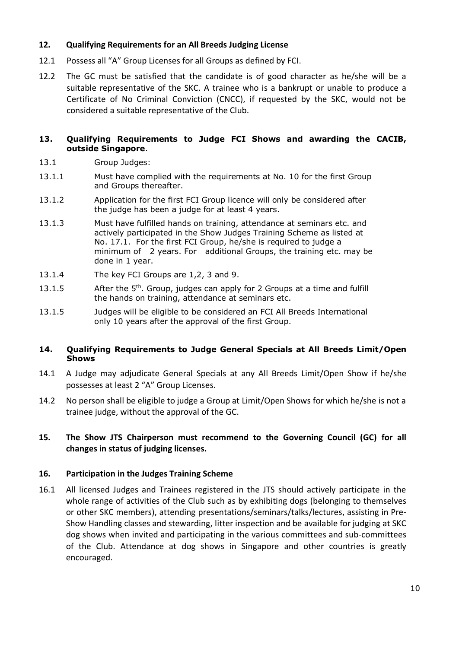## **12. Qualifying Requirements for an All Breeds Judging License**

- 12.1 Possess all "A" Group Licenses for all Groups as defined by FCI.
- 12.2 The GC must be satisfied that the candidate is of good character as he/she will be a suitable representative of the SKC. A trainee who is a bankrupt or unable to produce a Certificate of No Criminal Conviction (CNCC), if requested by the SKC, would not be considered a suitable representative of the Club.

#### **13. Qualifying Requirements to Judge FCI Shows and awarding the CACIB, outside Singapore**.

- 13.1 Group Judges:
- 13.1.1 Must have complied with the requirements at No. 10 for the first Group and Groups thereafter.
- 13.1.2 Application for the first FCI Group licence will only be considered after the judge has been a judge for at least 4 years.
- 13.1.3 Must have fulfilled hands on training, attendance at seminars etc. and actively participated in the Show Judges Training Scheme as listed at No. 17.1. For the first FCI Group, he/she is required to judge a minimum of 2 years. For additional Groups, the training etc. may be done in 1 year.
- 13.1.4 The key FCI Groups are 1,2, 3 and 9.
- 13.1.5 After the  $5<sup>th</sup>$ . Group, judges can apply for 2 Groups at a time and fulfill the hands on training, attendance at seminars etc.
- 13.1.5 Judges will be eligible to be considered an FCI All Breeds International only 10 years after the approval of the first Group.

### **14. Qualifying Requirements to Judge General Specials at All Breeds Limit/Open Shows**

- 14.1 A Judge may adjudicate General Specials at any All Breeds Limit/Open Show if he/she possesses at least 2 "A" Group Licenses.
- 14.2 No person shall be eligible to judge a Group at Limit/Open Shows for which he/she is not a trainee judge, without the approval of the GC.

# **15. The Show JTS Chairperson must recommend to the Governing Council (GC) for all changes in status of judging licenses.**

#### **16. Participation in the Judges Training Scheme**

16.1 All licensed Judges and Trainees registered in the JTS should actively participate in the whole range of activities of the Club such as by exhibiting dogs (belonging to themselves or other SKC members), attending presentations/seminars/talks/lectures, assisting in Pre-Show Handling classes and stewarding, litter inspection and be available for judging at SKC dog shows when invited and participating in the various committees and sub-committees of the Club. Attendance at dog shows in Singapore and other countries is greatly encouraged.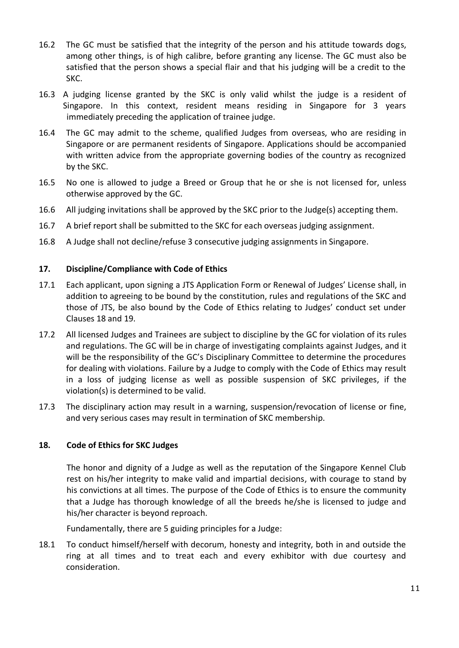- 16.2 The GC must be satisfied that the integrity of the person and his attitude towards dogs, among other things, is of high calibre, before granting any license. The GC must also be satisfied that the person shows a special flair and that his judging will be a credit to the SKC.
- 16.3 A judging license granted by the SKC is only valid whilst the judge is a resident of Singapore. In this context, resident means residing in Singapore for 3 years immediately preceding the application of trainee judge.
- 16.4 The GC may admit to the scheme, qualified Judges from overseas, who are residing in Singapore or are permanent residents of Singapore. Applications should be accompanied with written advice from the appropriate governing bodies of the country as recognized by the SKC.
- 16.5 No one is allowed to judge a Breed or Group that he or she is not licensed for, unless otherwise approved by the GC.
- 16.6 All judging invitations shall be approved by the SKC prior to the Judge(s) accepting them.
- 16.7 A brief report shall be submitted to the SKC for each overseas judging assignment.
- 16.8 A Judge shall not decline/refuse 3 consecutive judging assignments in Singapore.

#### **17. Discipline/Compliance with Code of Ethics**

- 17.1 Each applicant, upon signing a JTS Application Form or Renewal of Judges' License shall, in addition to agreeing to be bound by the constitution, rules and regulations of the SKC and those of JTS, be also bound by the Code of Ethics relating to Judges' conduct set under Clauses 18 and 19.
- 17.2 All licensed Judges and Trainees are subject to discipline by the GC for violation of its rules and regulations. The GC will be in charge of investigating complaints against Judges, and it will be the responsibility of the GC's Disciplinary Committee to determine the procedures for dealing with violations. Failure by a Judge to comply with the Code of Ethics may result in a loss of judging license as well as possible suspension of SKC privileges, if the violation(s) is determined to be valid.
- 17.3 The disciplinary action may result in a warning, suspension/revocation of license or fine, and very serious cases may result in termination of SKC membership.

#### **18. Code of Ethics for SKC Judges**

The honor and dignity of a Judge as well as the reputation of the Singapore Kennel Club rest on his/her integrity to make valid and impartial decisions, with courage to stand by his convictions at all times. The purpose of the Code of Ethics is to ensure the community that a Judge has thorough knowledge of all the breeds he/she is licensed to judge and his/her character is beyond reproach.

Fundamentally, there are 5 guiding principles for a Judge:

18.1 To conduct himself/herself with decorum, honesty and integrity, both in and outside the ring at all times and to treat each and every exhibitor with due courtesy and consideration.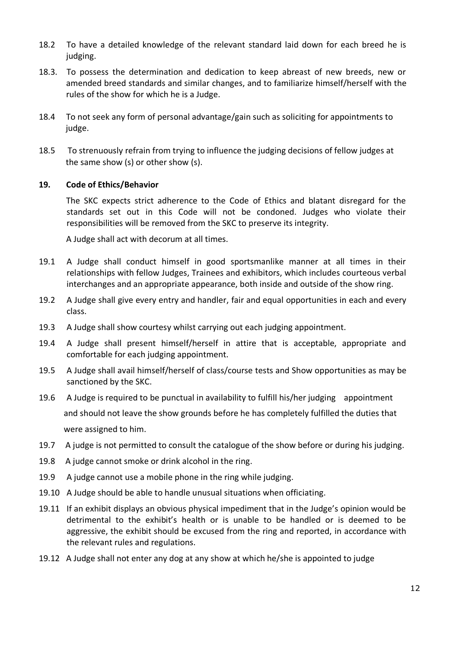- 18.2 To have a detailed knowledge of the relevant standard laid down for each breed he is judging.
- 18.3. To possess the determination and dedication to keep abreast of new breeds, new or amended breed standards and similar changes, and to familiarize himself/herself with the rules of the show for which he is a Judge.
- 18.4 To not seek any form of personal advantage/gain such as soliciting for appointments to judge.
- 18.5 To strenuously refrain from trying to influence the judging decisions of fellow judges at the same show (s) or other show (s).

### **19. Code of Ethics/Behavior**

The SKC expects strict adherence to the Code of Ethics and blatant disregard for the standards set out in this Code will not be condoned. Judges who violate their responsibilities will be removed from the SKC to preserve its integrity.

A Judge shall act with decorum at all times.

- 19.1 A Judge shall conduct himself in good sportsmanlike manner at all times in their relationships with fellow Judges, Trainees and exhibitors, which includes courteous verbal interchanges and an appropriate appearance, both inside and outside of the show ring.
- 19.2 A Judge shall give every entry and handler, fair and equal opportunities in each and every class.
- 19.3 A Judge shall show courtesy whilst carrying out each judging appointment.
- 19.4 A Judge shall present himself/herself in attire that is acceptable, appropriate and comfortable for each judging appointment.
- 19.5 A Judge shall avail himself/herself of class/course tests and Show opportunities as may be sanctioned by the SKC.
- 19.6 A Judge is required to be punctual in availability to fulfill his/her judging appointment and should not leave the show grounds before he has completely fulfilled the duties that were assigned to him.
- 19.7 A judge is not permitted to consult the catalogue of the show before or during his judging.
- 19.8 A judge cannot smoke or drink alcohol in the ring.
- 19.9 A judge cannot use a mobile phone in the ring while judging.
- 19.10 A Judge should be able to handle unusual situations when officiating.
- 19.11 If an exhibit displays an obvious physical impediment that in the Judge's opinion would be detrimental to the exhibit's health or is unable to be handled or is deemed to be aggressive, the exhibit should be excused from the ring and reported, in accordance with the relevant rules and regulations.
- 19.12 A Judge shall not enter any dog at any show at which he/she is appointed to judge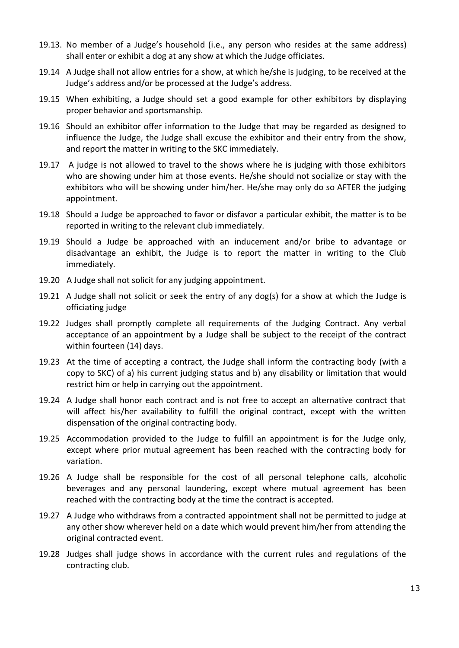- 19.13. No member of a Judge's household (i.e., any person who resides at the same address) shall enter or exhibit a dog at any show at which the Judge officiates.
- 19.14 A Judge shall not allow entries for a show, at which he/she is judging, to be received at the Judge's address and/or be processed at the Judge's address.
- 19.15 When exhibiting, a Judge should set a good example for other exhibitors by displaying proper behavior and sportsmanship.
- 19.16 Should an exhibitor offer information to the Judge that may be regarded as designed to influence the Judge, the Judge shall excuse the exhibitor and their entry from the show, and report the matter in writing to the SKC immediately.
- 19.17 A judge is not allowed to travel to the shows where he is judging with those exhibitors who are showing under him at those events. He/she should not socialize or stay with the exhibitors who will be showing under him/her. He/she may only do so AFTER the judging appointment.
- 19.18 Should a Judge be approached to favor or disfavor a particular exhibit, the matter is to be reported in writing to the relevant club immediately.
- 19.19 Should a Judge be approached with an inducement and/or bribe to advantage or disadvantage an exhibit, the Judge is to report the matter in writing to the Club immediately.
- 19.20 A Judge shall not solicit for any judging appointment.
- 19.21 A Judge shall not solicit or seek the entry of any dog(s) for a show at which the Judge is officiating judge
- 19.22 Judges shall promptly complete all requirements of the Judging Contract. Any verbal acceptance of an appointment by a Judge shall be subject to the receipt of the contract within fourteen (14) days.
- 19.23 At the time of accepting a contract, the Judge shall inform the contracting body (with a copy to SKC) of a) his current judging status and b) any disability or limitation that would restrict him or help in carrying out the appointment.
- 19.24 A Judge shall honor each contract and is not free to accept an alternative contract that will affect his/her availability to fulfill the original contract, except with the written dispensation of the original contracting body.
- 19.25 Accommodation provided to the Judge to fulfill an appointment is for the Judge only, except where prior mutual agreement has been reached with the contracting body for variation.
- 19.26 A Judge shall be responsible for the cost of all personal telephone calls, alcoholic beverages and any personal laundering, except where mutual agreement has been reached with the contracting body at the time the contract is accepted.
- 19.27 A Judge who withdraws from a contracted appointment shall not be permitted to judge at any other show wherever held on a date which would prevent him/her from attending the original contracted event.
- 19.28 Judges shall judge shows in accordance with the current rules and regulations of the contracting club.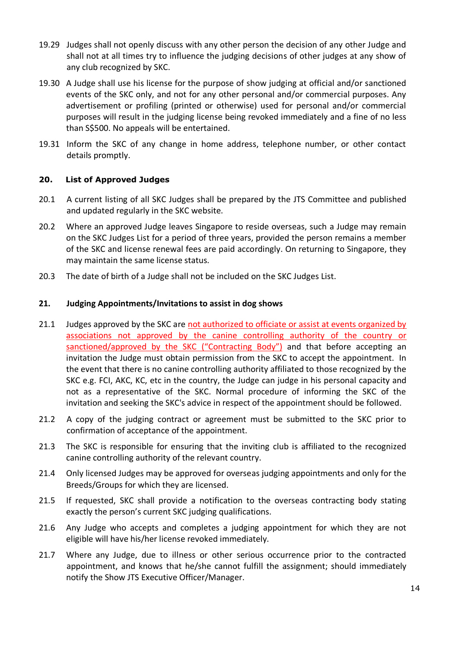- 19.29 Judges shall not openly discuss with any other person the decision of any other Judge and shall not at all times try to influence the judging decisions of other judges at any show of any club recognized by SKC.
- 19.30 A Judge shall use his license for the purpose of show judging at official and/or sanctioned events of the SKC only, and not for any other personal and/or commercial purposes. Any advertisement or profiling (printed or otherwise) used for personal and/or commercial purposes will result in the judging license being revoked immediately and a fine of no less than S\$500. No appeals will be entertained.
- 19.31 Inform the SKC of any change in home address, telephone number, or other contact details promptly.

# **20. List of Approved Judges**

- 20.1 A current listing of all SKC Judges shall be prepared by the JTS Committee and published and updated regularly in the SKC website.
- 20.2 Where an approved Judge leaves Singapore to reside overseas, such a Judge may remain on the SKC Judges List for a period of three years, provided the person remains a member of the SKC and license renewal fees are paid accordingly. On returning to Singapore, they may maintain the same license status.
- 20.3 The date of birth of a Judge shall not be included on the SKC Judges List.

### **21. Judging Appointments/Invitations to assist in dog shows**

- 21.1 Judges approved by the SKC are not authorized to officiate or assist at events organized by associations not approved by the canine controlling authority of the country or sanctioned/approved by the SKC ("Contracting Body") and that before accepting an invitation the Judge must obtain permission from the SKC to accept the appointment. In the event that there is no canine controlling authority affiliated to those recognized by the SKC e.g. FCI, AKC, KC, etc in the country, the Judge can judge in his personal capacity and not as a representative of the SKC. Normal procedure of informing the SKC of the invitation and seeking the SKC's advice in respect of the appointment should be followed.
- 21.2 A copy of the judging contract or agreement must be submitted to the SKC prior to confirmation of acceptance of the appointment.
- 21.3 The SKC is responsible for ensuring that the inviting club is affiliated to the recognized canine controlling authority of the relevant country.
- 21.4 Only licensed Judges may be approved for overseas judging appointments and only for the Breeds/Groups for which they are licensed.
- 21.5 If requested, SKC shall provide a notification to the overseas contracting body stating exactly the person's current SKC judging qualifications.
- 21.6 Any Judge who accepts and completes a judging appointment for which they are not eligible will have his/her license revoked immediately.
- 21.7 Where any Judge, due to illness or other serious occurrence prior to the contracted appointment, and knows that he/she cannot fulfill the assignment; should immediately notify the Show JTS Executive Officer/Manager.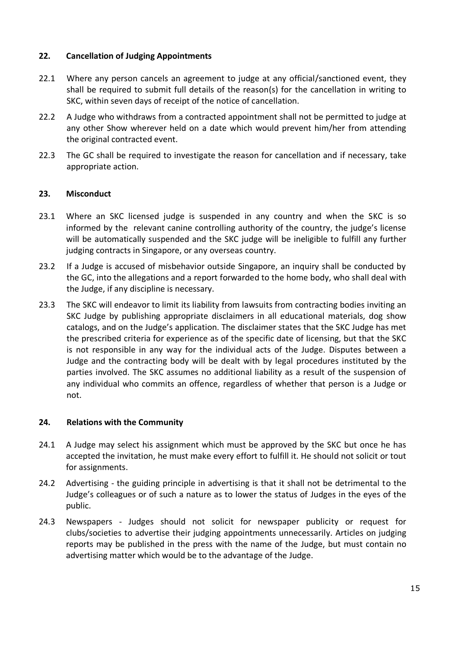## **22. Cancellation of Judging Appointments**

- 22.1 Where any person cancels an agreement to judge at any official/sanctioned event, they shall be required to submit full details of the reason(s) for the cancellation in writing to SKC, within seven days of receipt of the notice of cancellation.
- 22.2 A Judge who withdraws from a contracted appointment shall not be permitted to judge at any other Show wherever held on a date which would prevent him/her from attending the original contracted event.
- 22.3 The GC shall be required to investigate the reason for cancellation and if necessary, take appropriate action.

# **23. Misconduct**

- 23.1 Where an SKC licensed judge is suspended in any country and when the SKC is so informed by the relevant canine controlling authority of the country, the judge's license will be automatically suspended and the SKC judge will be ineligible to fulfill any further judging contracts in Singapore, or any overseas country.
- 23.2 If a Judge is accused of misbehavior outside Singapore, an inquiry shall be conducted by the GC, into the allegations and a report forwarded to the home body, who shall deal with the Judge, if any discipline is necessary.
- 23.3 The SKC will endeavor to limit its liability from lawsuits from contracting bodies inviting an SKC Judge by publishing appropriate disclaimers in all educational materials, dog show catalogs, and on the Judge's application. The disclaimer states that the SKC Judge has met the prescribed criteria for experience as of the specific date of licensing, but that the SKC is not responsible in any way for the individual acts of the Judge. Disputes between a Judge and the contracting body will be dealt with by legal procedures instituted by the parties involved. The SKC assumes no additional liability as a result of the suspension of any individual who commits an offence, regardless of whether that person is a Judge or not.

#### **24. Relations with the Community**

- 24.1 A Judge may select his assignment which must be approved by the SKC but once he has accepted the invitation, he must make every effort to fulfill it. He should not solicit or tout for assignments.
- 24.2 Advertising the guiding principle in advertising is that it shall not be detrimental to the Judge's colleagues or of such a nature as to lower the status of Judges in the eyes of the public.
- 24.3 Newspapers Judges should not solicit for newspaper publicity or request for clubs/societies to advertise their judging appointments unnecessarily. Articles on judging reports may be published in the press with the name of the Judge, but must contain no advertising matter which would be to the advantage of the Judge.